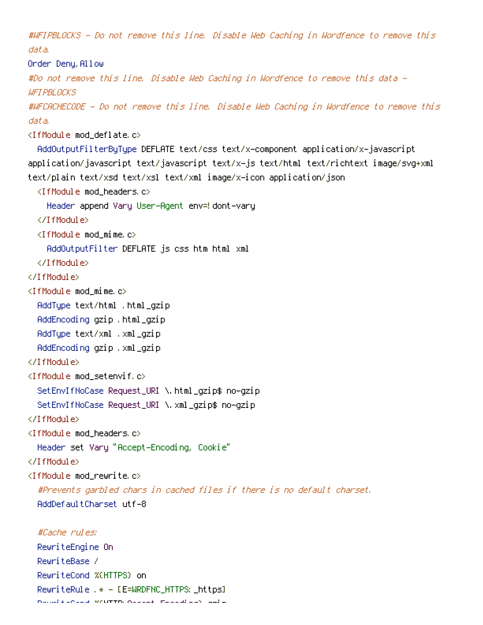#WFIPBLOCKS - Do not remove this line. Disable Web Caching in Wordfence to remove this data. Order Deny, Allow #Do not remove this line. Disable Web Caching in Wordfence to remove this data - **WFT PRI NCKS** #WFCACHECODE - Do not remove this line. Disable Web Caching in Wordfence to remove this data. <IfModule mod\_deflate.c> AddOutputFilterByType DEFLATE text/css text/x-component application/x-javascript application/javascript text/javascript text/x-js text/html text/richtext image/svg+xml text/plain text/xsd text/xsl text/xml image/x-icon application/json <IfModule mod\_headers.c> Header append Vary User-Agent env=! dont-vary </IfModule>  $\langle$ IfModule mod mime.c $\rangle$ AddOutputFilter DEFLATE js css htm html xml </IfModule> </IfModule> <IfModule mod\_mime.c> AddType text/html .html\_gzip AddEncoding gzip .html\_gzip AddType text/xml .xml\_gzip AddEncoding gzip .xml\_gzip </IfModule> <IfModule mod\_setenvif.c> SetEnvIfNoCase Request\_URI \.html\_gzip\$ no-gzip SetEnvIfNoCase Request\_URI \.xml\_gzip\$ no-gzip </IfModule> <IfModule mod\_headers.c> Header set Vary "Accept-Encoding, Cookie" </IfModule>  $\triangleleft$ IfModule mod rewrite.c $>$ #Prevents garbled chars in cached files if there is no default charset. AddDefaultCharset utf-8 #Cache rules: RewriteEngine On RewriteBase / RewriteCond %{HTTPS} on

RewriteRule .\* - [E=WRDFNC\_HTTPS:\_https] RewriteCond %{HTTP:Accept-Encoding} gzip